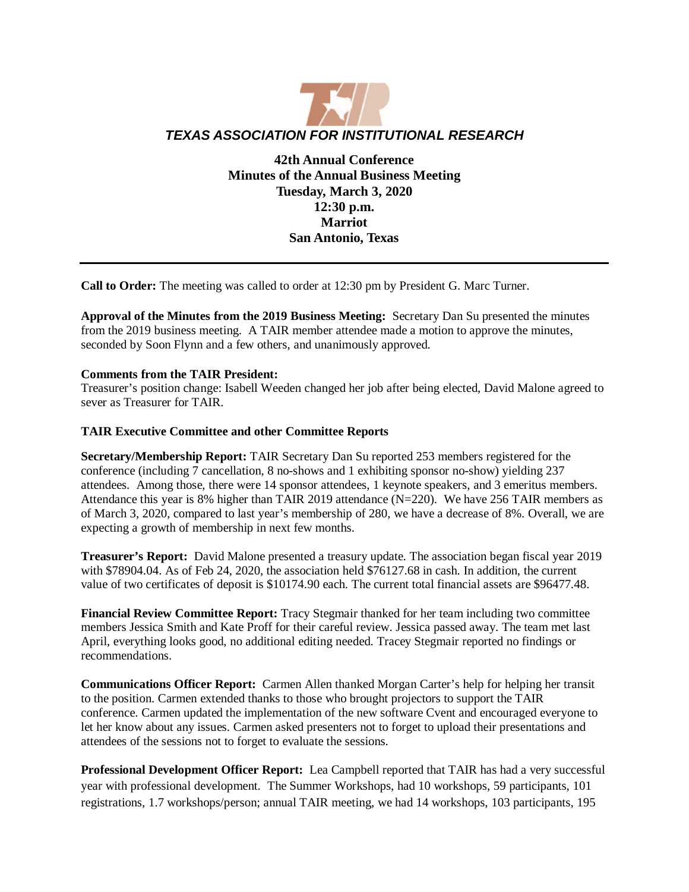

**42th Annual Conference Minutes of the Annual Business Meeting Tuesday, March 3, 2020 12:30 p.m. Marriot San Antonio, Texas**

**Call to Order:** The meeting was called to order at 12:30 pm by President G. Marc Turner.

**Approval of the Minutes from the 2019 Business Meeting:** Secretary Dan Su presented the minutes from the 2019 business meeting. A TAIR member attendee made a motion to approve the minutes, seconded by Soon Flynn and a few others, and unanimously approved.

#### **Comments from the TAIR President:**

Treasurer's position change: Isabell Weeden changed her job after being elected, David Malone agreed to sever as Treasurer for TAIR

## **TAIR Executive Committee and other Committee Reports**

**Secretary/Membership Report:** TAIR Secretary Dan Su reported 253 members registered for the conference (including 7 cancellation, 8 no-shows and 1 exhibiting sponsor no-show) yielding 237 attendees. Among those, there were 14 sponsor attendees, 1 keynote speakers, and 3 emeritus members. Attendance this year is 8% higher than TAIR 2019 attendance (N=220). We have 256 TAIR members as of March 3, 2020, compared to last year's membership of 280, we have a decrease of 8%. Overall, we are expecting a growth of membership in next few months.

**Treasurer's Report:** David Malone presented a treasury update. The association began fiscal year 2019 with \$78904.04. As of Feb 24, 2020, the association held \$76127.68 in cash. In addition, the current value of two certificates of deposit is \$10174.90 each. The current total financial assets are \$96477.48.

**Financial Review Committee Report:** Tracy Stegmair thanked for her team including two committee members Jessica Smith and Kate Proff for their careful review. Jessica passed away. The team met last April, everything looks good, no additional editing needed. Tracey Stegmair reported no findings or recommendations.

**Communications Officer Report:** Carmen Allen thanked Morgan Carter's help for helping her transit to the position. Carmen extended thanks to those who brought projectors to support the TAIR conference. Carmen updated the implementation of the new software Cvent and encouraged everyone to let her know about any issues. Carmen asked presenters not to forget to upload their presentations and attendees of the sessions not to forget to evaluate the sessions.

**Professional Development Officer Report:** Lea Campbell reported that TAIR has had a very successful year with professional development. The Summer Workshops, had 10 workshops, 59 participants, 101 registrations, 1.7 workshops/person; annual TAIR meeting, we had 14 workshops, 103 participants, 195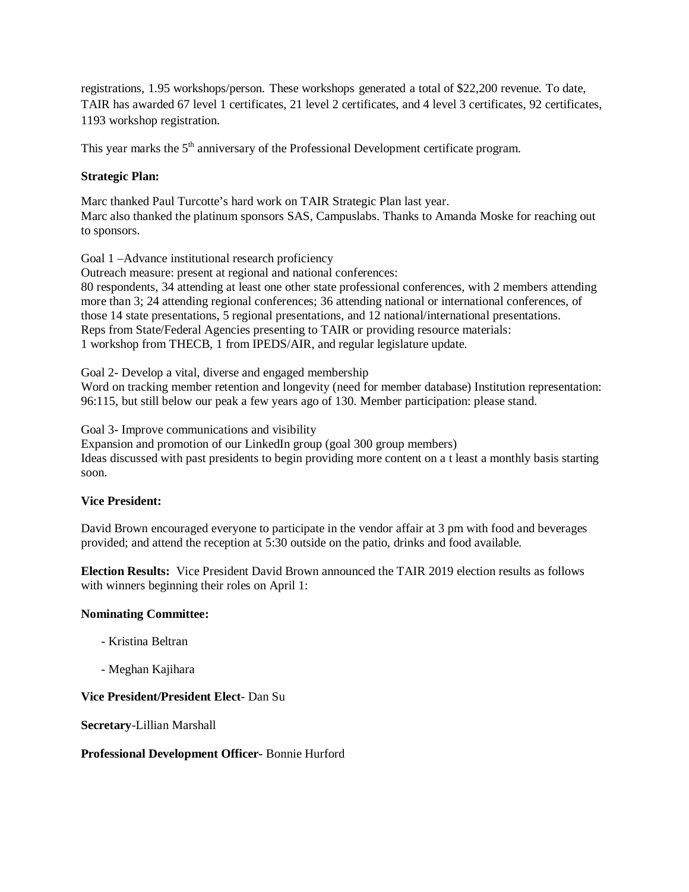registrations, 1.95 workshops/person. These workshops generated a total of \$22,200 revenue. To date, TAIR has awarded 67 level 1 certificates, 21 level 2 certificates, and 4 level 3 certificates, 92 certificates, 1193 workshop registration.

This year marks the 5<sup>th</sup> anniversary of the Professional Development certificate program.

# **Strategic Plan:**

Marc thanked Paul Turcotte's hard work on TAIR Strategic Plan last year. Marc also thanked the platinum sponsors SAS, Campuslabs. Thanks to Amanda Moske for reaching out to sponsors.

Goal 1 –Advance institutional research proficiency

Outreach measure: present at regional and national conferences:

80 respondents, 34 attending at least one other state professional conferences, with 2 members attending more than 3; 24 attending regional conferences; 36 attending national or international conferences, of those 14 state presentations, 5 regional presentations, and 12 national/international presentations. Reps from State/Federal Agencies presenting to TAIR or providing resource materials: 1 workshop from THECB, 1 from IPEDS/AIR, and regular legislature update.

Goal 2- Develop a vital, diverse and engaged membership

Word on tracking member retention and longevity (need for member database) Institution representation: 96:115, but still below our peak a few years ago of 130. Member participation: please stand.

Goal 3- Improve communications and visibility

Expansion and promotion of our LinkedIn group (goal 300 group members)

Ideas discussed with past presidents to begin providing more content on a t least a monthly basis starting soon.

### **Vice President:**

David Brown encouraged everyone to participate in the vendor affair at 3 pm with food and beverages provided; and attend the reception at 5:30 outside on the patio, drinks and food available.

**Election Results:** Vice President David Brown announced the TAIR 2019 election results as follows with winners beginning their roles on April 1:

#### **Nominating Committee:**

- Kristina Beltran
- Meghan Kajihara

#### **Vice President/President Elect**- Dan Su

**Secretary**-Lillian Marshall

#### **Professional Development Officer-** Bonnie Hurford